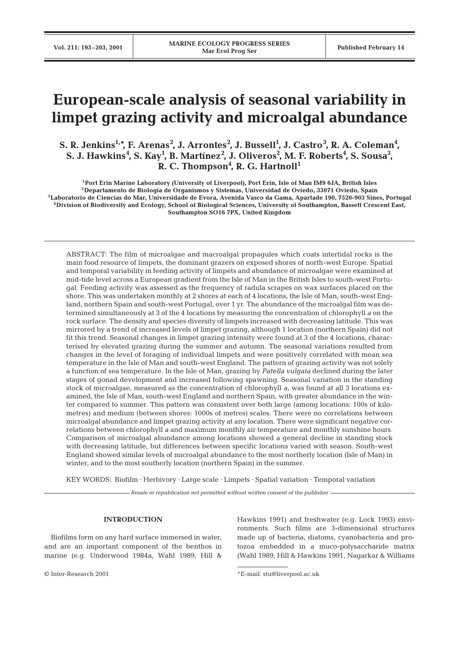# **European-scale analysis of seasonal variability in limpet grazing activity and microalgal abundance**

S. R. Jenkins<sup>1,\*</sup>, F. Arenas<sup>2</sup>, J. Arrontes<sup>2</sup>, J. Bussell<sup>1</sup>, J. Castro<sup>3</sup>, R. A. Coleman<sup>4</sup>,  $\mathbf{S}.$  J. Hawkins<sup>4</sup>, S. Kay<sup>1</sup>, B. Martínez<sup>2</sup>, J. Oliveros<sup>2</sup>, M. F. Roberts<sup>4</sup>, S. Sousa<sup>3</sup>, R. C. Thompson<sup>4</sup>, R. G. Hartnoll<sup>1</sup>

**1Port Erin Marine Laboratory (University of Liverpool), Port Erin, Isle of Man IM9 6JA, British Isles 2Departamento de Biologia de Organismos y Sistemas, Universidad de Oviedo, 33071 Oviedo, Spain 3Laboratorio de Ciencias do Mar, Universidade de Evora, Avenida Vasco da Gama, Apartade 190, 7520-903 Sines, Portugal 4Division of Biodiversity and Ecology, School of Biological Sciences, University of Southampton, Bassett Crescent East, Southampton SO16 7PX, United Kingdom**

ABSTRACT: The film of microalgae and macroalgal propagules which coats intertidal rocks is the main food resource of limpets, the dominant grazers on exposed shores of north-west Europe. Spatial and temporal variability in feeding activity of limpets and abundance of microalgae were examined at mid-tide level across a European gradient from the Isle of Man in the British Isles to south-west Portugal. Feeding activity was assessed as the frequency of radula scrapes on wax surfaces placed on the shore. This was undertaken monthly at 2 shores at each of 4 locations, the Isle of Man, south-west England, northern Spain and south-west Portugal, over 1 yr. The abundance of the microalgal film was determined simultaneously at 3 of the 4 locations by measuring the concentration of chlorophyll *a* on the rock surface. The density and species diversity of limpets increased with decreasing latitude. This was mirrored by a trend of increased levels of limpet grazing, although 1 location (northern Spain) did not fit this trend. Seasonal changes in limpet grazing intensity were found at 3 of the 4 locations, characterised by elevated grazing during the summer and autumn. The seasonal variations resulted from changes in the level of foraging of individual limpets and were positively correlated with mean sea temperature in the Isle of Man and south-west England. The pattern of grazing activity was not solely a function of sea temperature. In the Isle of Man, grazing by *Patella vulgata* declined during the later stages of gonad development and increased following spawning. Seasonal variation in the standing stock of microalgae, measured as the concentration of chlorophyll *a*, was found at all 3 locations examined, the Isle of Man, south-west England and northern Spain, with greater abundance in the winter compared to summer. This pattern was consistent over both large (among locations: 100s of kilometres) and medium (between shores: 1000s of metres) scales. There were no correlations between microalgal abundance and limpet grazing activity at any location. There were significant negative correlations between chlorophyll *a* and maximum monthly air temperature and monthly sunshine hours. Comparison of microalgal abundance among locations showed a general decline in standing stock with decreasing latitude, but differences between specific locations varied with season. South-west England showed similar levels of microalgal abundance to the most northerly location (Isle of Man) in winter, and to the most southerly location (northern Spain) in the summer.

KEY WORDS: Biofilm · Herbivory · Large scale · Limpets · Spatial variation · Temporal variation

*Resale or republication not permitted without written consent of the publisher*

# **INTRODUCTION**

Biofilms form on any hard surface immersed in water, and are an important component of the benthos in marine (e.g. Underwood 1984a, Wahl 1989, Hill & Hawkins 1991) and freshwater (e.g. Lock 1993) environments. Such films are 3-dimensional structures made up of bacteria, diatoms, cyanobacteria and protozoa embedded in a muco-polysaccharide matrix (Wahl 1989, Hill & Hawkins 1991, Nagarkar & Williams

<sup>©</sup> Inter-Research 2001 \*E-mail: stu@liverpool.ac.uk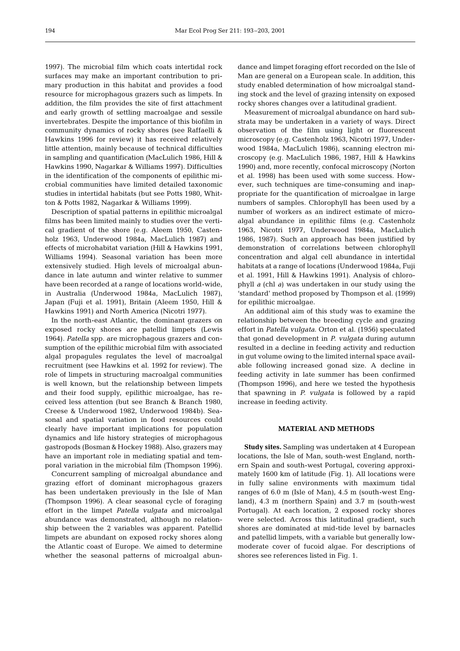1997). The microbial film which coats intertidal rock surfaces may make an important contribution to primary production in this habitat and provides a food resource for microphagous grazers such as limpets. In addition, the film provides the site of first attachment and early growth of settling macroalgae and sessile invertebrates. Despite the importance of this biofilm in community dynamics of rocky shores (see Raffaelli & Hawkins 1996 for review) it has received relatively little attention, mainly because of technical difficulties in sampling and quantification (MacLulich 1986, Hill & Hawkins 1990, Nagarkar & Williams 1997). Difficulties in the identification of the components of epilithic microbial communities have limited detailed taxonomic studies in intertidal habitats (but see Potts 1980, Whitton & Potts 1982, Nagarkar & Williams 1999).

Description of spatial patterns in epilithic microalgal films has been limited mainly to studies over the vertical gradient of the shore (e.g. Aleem 1950, Castenholz 1963, Underwood 1984a, MacLulich 1987) and effects of microhabitat variation (Hill & Hawkins 1991, Williams 1994). Seasonal variation has been more extensively studied. High levels of microalgal abundance in late autumn and winter relative to summer have been recorded at a range of locations world-wide, in Australia (Underwood 1984a, MacLulich 1987), Japan (Fuji et al. 1991), Britain (Aleem 1950, Hill & Hawkins 1991) and North America (Nicotri 1977).

In the north-east Atlantic, the dominant grazers on exposed rocky shores are patellid limpets (Lewis 1964). *Patella* spp. are microphagous grazers and consumption of the epilithic microbial film with associated algal propagules regulates the level of macroalgal recruitment (see Hawkins et al. 1992 for review). The role of limpets in structuring macroalgal communities is well known, but the relationship between limpets and their food supply, epilithic microalgae, has received less attention (but see Branch & Branch 1980, Creese & Underwood 1982, Underwood 1984b). Seasonal and spatial variation in food resources could clearly have important implications for population dynamics and life history strategies of microphagous gastropods (Bosman & Hockey 1988). Also, grazers may have an important role in mediating spatial and temporal variation in the microbial film (Thompson 1996).

Concurrent sampling of microalgal abundance and grazing effort of dominant microphagous grazers has been undertaken previously in the Isle of Man (Thompson 1996). A clear seasonal cycle of foraging effort in the limpet *Patella vulgata* and microalgal abundance was demonstrated, although no relationship between the 2 variables was apparent. Patellid limpets are abundant on exposed rocky shores along the Atlantic coast of Europe. We aimed to determine whether the seasonal patterns of microalgal abundance and limpet foraging effort recorded on the Isle of Man are general on a European scale. In addition, this study enabled determination of how microalgal standing stock and the level of grazing intensity on exposed rocky shores changes over a latitudinal gradient.

Measurement of microalgal abundance on hard substrata may be undertaken in a variety of ways. Direct observation of the film using light or fluorescent microscopy (e.g. Castenholz 1963, Nicotri 1977, Underwood 1984a, MacLulich 1986), scanning electron microscopy (e.g. MacLulich 1986, 1987, Hill & Hawkins 1990) and, more recently, confocal microscopy (Norton et al. 1998) has been used with some success. However, such techniques are time-consuming and inappropriate for the quantification of microalgae in large numbers of samples. Chlorophyll has been used by a number of workers as an indirect estimate of microalgal abundance in epilithic films (e.g. Castenholz 1963, Nicotri 1977, Underwood 1984a, MacLulich 1986, 1987). Such an approach has been justified by demonstration of correlations between chlorophyll concentration and algal cell abundance in intertidal habitats at a range of locations (Underwood 1984a, Fuji et al. 1991, Hill & Hawkins 1991). Analysis of chlorophyll *a* (chl *a*) was undertaken in our study using the 'standard' method proposed by Thompson et al. (1999) for epilithic microalgae.

An additional aim of this study was to examine the relationship between the breeding cycle and grazing effort in *Patella vulgata*. Orton et al. (1956) speculated that gonad development in *P. vulgata* during autumn resulted in a decline in feeding activity and reduction in gut volume owing to the limited internal space available following increased gonad size. A decline in feeding activity in late summer has been confirmed (Thompson 1996), and here we tested the hypothesis that spawning in *P. vulgata* is followed by a rapid increase in feeding activity.

# **MATERIAL AND METHODS**

**Study sites.** Sampling was undertaken at 4 European locations, the Isle of Man, south-west England, northern Spain and south-west Portugal, covering approximately 1600 km of latitude (Fig. 1). All locations were in fully saline environments with maximum tidal ranges of 6.0 m (Isle of Man), 4.5 m (south-west England), 4.3 m (northern Spain) and 3.7 m (south-west Portugal). At each location, 2 exposed rocky shores were selected. Across this latitudinal gradient, such shores are dominated at mid-tide level by barnacles and patellid limpets, with a variable but generally lowmoderate cover of fucoid algae. For descriptions of shores see references listed in Fig. 1.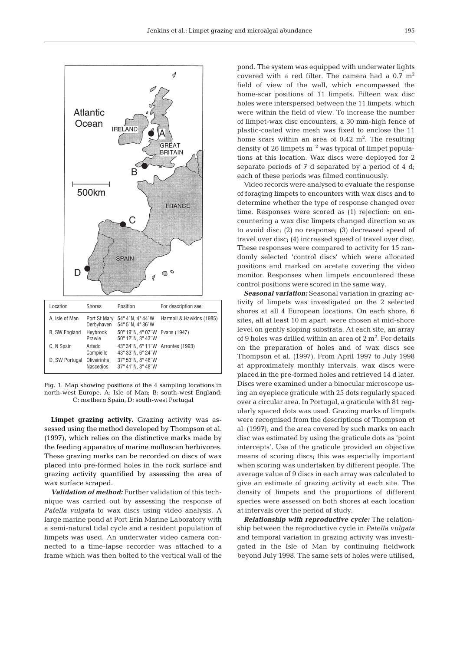

| LUUUUUI              | <u>UHULUJ</u>                   | ווטווניט ו                                                                | <b>TUI GUUUIIDUUII JUU.</b> |
|----------------------|---------------------------------|---------------------------------------------------------------------------|-----------------------------|
| A, Isle of Man       | Port St Mary<br>Derbyhaven      | 54°4'N, 4°44'W<br>54° 5' N. 4° 36' W                                      | Hartnoll & Hawkins (1985)   |
| <b>B. SW England</b> | Heybrook<br>Prawle              | 50° 19' N, 4° 07' W Evans (1947)<br>$50^{\circ}$ 12' N, $3^{\circ}$ 43' W |                             |
| C. N Spain           | Artedo<br>Campiello             | 43° 34' N, 6° 11' W Arrontes (1993)<br>43° 33' N, 6° 24' W                |                             |
| D, SW Portugal       | Oliveirinha<br><b>Nascedios</b> | 37° 53' N. 8° 48' W<br>37° 41' N. 8° 48' W                                |                             |
|                      |                                 |                                                                           |                             |

Fig. 1. Map showing positions of the 4 sampling locations in north-west Europe. A: Isle of Man; B: south-west England; C: northern Spain; D: south-west Portugal

**Limpet grazing activity.** Grazing activity was assessed using the method developed by Thompson et al. (1997), which relies on the distinctive marks made by the feeding apparatus of marine molluscan herbivores. These grazing marks can be recorded on discs of wax placed into pre-formed holes in the rock surface and grazing activity quantified by assessing the area of wax surface scraped.

*Validation of method:* Further validation of this technique was carried out by assessing the response of *Patella vulgata* to wax discs using video analysis. A large marine pond at Port Erin Marine Laboratory with a semi-natural tidal cycle and a resident population of limpets was used. An underwater video camera connected to a time-lapse recorder was attached to a frame which was then bolted to the vertical wall of the pond. The system was equipped with underwater lights covered with a red filter. The camera had a  $0.7 \text{ m}^2$ field of view of the wall, which encompassed the home-scar positions of 11 limpets. Fifteen wax disc holes were interspersed between the 11 limpets, which were within the field of view. To increase the number of limpet-wax disc encounters, a 30 mm-high fence of plastic-coated wire mesh was fixed to enclose the 11 home scars within an area of  $0.42 \text{ m}^2$ . The resulting density of 26 limpets  $m^{-2}$  was typical of limpet populations at this location. Wax discs were deployed for 2 separate periods of 7 d separated by a period of 4 d; each of these periods was filmed continuously.

Video records were analysed to evaluate the response of foraging limpets to encounters with wax discs and to determine whether the type of response changed over time. Responses were scored as (1) rejection: on encountering a wax disc limpets changed direction so as to avoid disc; (2) no response; (3) decreased speed of travel over disc; (4) increased speed of travel over disc. These responses were compared to activity for 15 randomly selected 'control discs' which were allocated positions and marked on acetate covering the video monitor. Responses when limpets encountered these control positions were scored in the same way.

*Seasonal variation:* Seasonal variation in grazing activity of limpets was investigated on the 2 selected shores at all 4 European locations. On each shore, 6 sites, all at least 10 m apart, were chosen at mid-shore level on gently sloping substrata. At each site, an array of 9 holes was drilled within an area of  $2 \text{ m}^2$ . For details on the preparation of holes and of wax discs see Thompson et al. (1997). From April 1997 to July 1998 at approximately monthly intervals, wax discs were placed in the pre-formed holes and retrieved 14 d later. Discs were examined under a binocular microscope using an eyepiece graticule with 25 dots regularly spaced over a circular area. In Portugal, a graticule with 81 regularly spaced dots was used. Grazing marks of limpets were recognised from the descriptions of Thompson et al. (1997), and the area covered by such marks on each disc was estimated by using the graticule dots as 'point intercepts'. Use of the graticule provided an objective means of scoring discs; this was especially important when scoring was undertaken by different people. The average value of 9 discs in each array was calculated to give an estimate of grazing activity at each site. The density of limpets and the proportions of different species were assessed on both shores at each location at intervals over the period of study.

*Relationship with reproductive cycle:* The relationship between the reproductive cycle in *Patella vulgata* and temporal variation in grazing activity was investigated in the Isle of Man by continuing fieldwork beyond July 1998. The same sets of holes were utilised,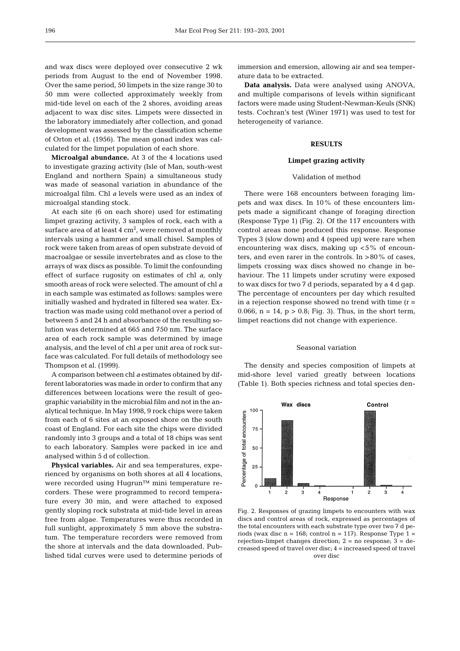and wax discs were deployed over consecutive 2 wk periods from August to the end of November 1998. Over the same period, 50 limpets in the size range 30 to 50 mm were collected approximately weekly from mid-tide level on each of the 2 shores, avoiding areas adjacent to wax disc sites. Limpets were dissected in the laboratory immediately after collection, and gonad development was assessed by the classification scheme of Orton et al. (1956). The mean gonad index was calculated for the limpet population of each shore.

**Microalgal abundance.** At 3 of the 4 locations used to investigate grazing activity (Isle of Man, south-west England and northern Spain) a simultaneous study was made of seasonal variation in abundance of the microalgal film. Chl *a* levels were used as an index of microalgal standing stock.

At each site (6 on each shore) used for estimating limpet grazing activity, 3 samples of rock, each with a surface area of at least  $4 \text{ cm}^2$ , were removed at monthly intervals using a hammer and small chisel. Samples of rock were taken from areas of open substrate devoid of macroalgae or sessile invertebrates and as close to the arrays of wax discs as possible. To limit the confounding effect of surface rugosity on estimates of chl *a*, only smooth areas of rock were selected. The amount of chl *a* in each sample was estimated as follows: samples were initially washed and hydrated in filtered sea water. Extraction was made using cold methanol over a period of between 5 and 24 h and absorbance of the resulting solution was determined at 665 and 750 nm. The surface area of each rock sample was determined by image analysis, and the level of chl *a* per unit area of rock surface was calculated. For full details of methodology see Thompson et al. (1999).

A comparison between chl *a* estimates obtained by different laboratories was made in order to confirm that any differences between locations were the result of geographic variability in the microbial film and not in the analytical technique. In May 1998, 9 rock chips were taken from each of 6 sites at an exposed shore on the south coast of England. For each site the chips were divided randomly into 3 groups and a total of 18 chips was sent to each laboratory. Samples were packed in ice and analysed within 5 d of collection.

**Physical variables.** Air and sea temperatures, experienced by organisms on both shores at all 4 locations, were recorded using Hugrun™ mini temperature recorders. These were programmed to record temperature every 30 min, and were attached to exposed gently sloping rock substrata at mid-tide level in areas free from algae. Temperatures were thus recorded in full sunlight, approximately 5 mm above the substratum. The temperature recorders were removed from the shore at intervals and the data downloaded. Published tidal curves were used to determine periods of immersion and emersion, allowing air and sea temperature data to be extracted.

**Data analysis.** Data were analysed using ANOVA, and multiple comparisons of levels within significant factors were made using Student-Newman-Keuls (SNK) tests. Cochran's test (Winer 1971) was used to test for heterogeneity of variance.

## **RESULTS**

#### **Limpet grazing activity**

#### Validation of method

There were 168 encounters between foraging limpets and wax discs. In 10% of these encounters limpets made a significant change of foraging direction (Response Type 1) (Fig. 2). Of the 117 encounters with control areas none produced this response. Response Types 3 (slow down) and 4 (speed up) were rare when encountering wax discs, making up <5% of encounters, and even rarer in the controls. In >80% of cases, limpets crossing wax discs showed no change in behaviour. The 11 limpets under scrutiny were exposed to wax discs for two 7 d periods, separated by a 4 d gap. The percentage of encounters per day which resulted in a rejection response showed no trend with time  $(r =$ 0.066,  $n = 14$ ,  $p > 0.8$ ; Fig. 3). Thus, in the short term, limpet reactions did not change with experience.

#### Seasonal variation

The density and species composition of limpets at mid-shore level varied greatly between locations (Table 1). Both species richness and total species den-



Fig. 2. Responses of grazing limpets to encounters with wax discs and control areas of rock, expressed as percentages of the total encounters with each substrate type over two 7 d periods (wax disc  $n = 168$ ; control  $n = 117$ ). Response Type  $1 =$ rejection-limpet changes direction; 2 = no response; 3 = decreased speed of travel over disc; 4 = increased speed of travel over disc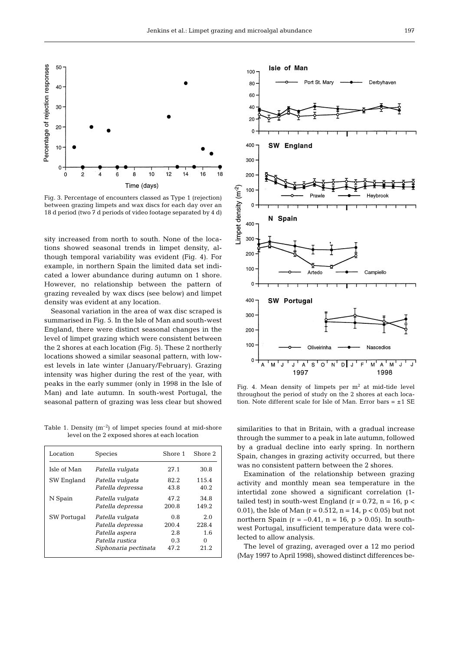

Fig. 3. Percentage of encounters classed as Type 1 (rejection) between grazing limpets and wax discs for each day over an 18 d period (two 7 d periods of video footage separated by 4 d)

sity increased from north to south. None of the locations showed seasonal trends in limpet density, although temporal variability was evident (Fig. 4). For example, in northern Spain the limited data set indicated a lower abundance during autumn on 1 shore. However, no relationship between the pattern of grazing revealed by wax discs (see below) and limpet density was evident at any location.

Seasonal variation in the area of wax disc scraped is summarised in Fig. 5. In the Isle of Man and south-west England, there were distinct seasonal changes in the level of limpet grazing which were consistent between the 2 shores at each location (Fig. 5). These 2 northerly locations showed a similar seasonal pattern, with lowest levels in late winter (January/February). Grazing intensity was higher during the rest of the year, with peaks in the early summer (only in 1998 in the Isle of Man) and late autumn. In south-west Portugal, the seasonal pattern of grazing was less clear but showed

Table 1. Density  $(m^{-2})$  of limpet species found at mid-shore level on the 2 exposed shores at each location

| Location    | <b>Species</b>       | Shore 1 | Shore 2 |
|-------------|----------------------|---------|---------|
| Isle of Man | Patella vulgata      | 27.1    | 30.8    |
| SW England  | Patella vulgata      | 82.2    | 115.4   |
|             | Patella depressa     | 43.8    | 40.2    |
| N Spain     | Patella vulgata      | 47.2    | 34 .8   |
|             | Patella depressa     | 200.8   | 149.2   |
| SW Portugal | Patella vulgata      | 0.8     | 2.0     |
|             | Patella depressa     | 200.4   | 228.4   |
|             | Patella aspera       | 2.8     | 1.6     |
|             | Patella rustica      | 0.3     | 0       |
|             | Siphonaria pectinata | 47.2    | 21.2    |



Fig. 4. Mean density of limpets per  $m<sup>2</sup>$  at mid-tide level throughout the period of study on the 2 shores at each location. Note different scale for Isle of Man. Error bars =  $\pm 1$  SE

similarities to that in Britain, with a gradual increase through the summer to a peak in late autumn, followed by a gradual decline into early spring. In northern Spain, changes in grazing activity occurred, but there was no consistent pattern between the 2 shores.

Examination of the relationship between grazing activity and monthly mean sea temperature in the intertidal zone showed a significant correlation (1 tailed test) in south-west England ( $r = 0.72$ ,  $n = 16$ ,  $p <$ 0.01), the Isle of Man ( $r = 0.512$ ,  $n = 14$ ,  $p < 0.05$ ) but not northern Spain ( $r = -0.41$ ,  $n = 16$ ,  $p > 0.05$ ). In southwest Portugal, insufficient temperature data were collected to allow analysis.

The level of grazing, averaged over a 12 mo period (May 1997 to April 1998), showed distinct differences be-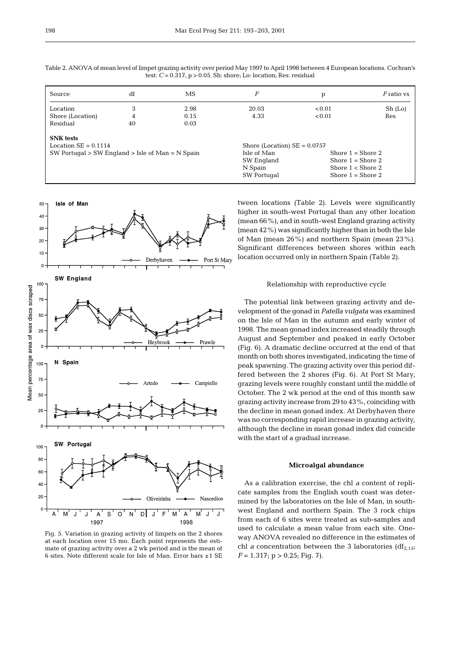| Source                                                 | df | МS   | F                              | p                   | $F$ ratio vs |
|--------------------------------------------------------|----|------|--------------------------------|---------------------|--------------|
| Location                                               | 3  | 2.98 | 20.03                          | < 0.01              | Sh (Lo)      |
| Shore (Location)                                       | 4  | 0.15 | 4.33                           | < 0.01              | Res          |
| Residual                                               | 40 | 0.03 |                                |                     |              |
| <b>SNK</b> tests                                       |    |      |                                |                     |              |
| Location $SE = 0.1114$                                 |    |      | Shore (Location) $SE = 0.0757$ |                     |              |
| $SW$ Portugal $> SW$ England $>$ Isle of Man = N Spain |    |      | Isle of Man                    | Shore $1 =$ Shore 2 |              |
|                                                        |    |      | SW England                     | Shore $1 =$ Shore 2 |              |
|                                                        |    |      | N Spain                        | Shore $1 <$ Shore 2 |              |
|                                                        |    |      | SW Portugal                    | Shore $1 =$ Shore 2 |              |

Table 2. ANOVA of mean level of limpet grazing activity over period May 1997 to April 1998 between 4 European locations. Cochran's test: *C* = 0.317, p > 0.05. Sh: shore; Lo: location; Res: residual



Fig. 5. Variation in grazing activity of limpets on the 2 shores at each location over 15 mo. Each point represents the estimate of grazing activity over a 2 wk period and is the mean of 6 sites. Note different scale for Isle of Man. Error bars ±1 SE

tween locations (Table 2). Levels were significantly higher in south-west Portugal than any other location (mean 66%), and in south-west England grazing activity (mean 42%) was significantly higher than in both the Isle of Man (mean 26%) and northern Spain (mean 23%). Significant differences between shores within each location occurred only in northern Spain (Table 2).

## Relationship with reproductive cycle

The potential link between grazing activity and development of the gonad in *Patella vulgata* was examined on the Isle of Man in the autumn and early winter of 1998. The mean gonad index increased steadily through August and September and peaked in early October (Fig. 6). A dramatic decline occurred at the end of that month on both shores investigated, indicating the time of peak spawning. The grazing activity over this period differed between the 2 shores (Fig. 6). At Port St Mary, grazing levels were roughly constant until the middle of October. The 2 wk period at the end of this month saw grazing activity increase from 29 to 43%, coinciding with the decline in mean gonad index. At Derbyhaven there was no corresponding rapid increase in grazing activity, although the decline in mean gonad index did coincide with the start of a gradual increase.

## **Microalgal abundance**

As a calibration exercise, the chl *a* content of replicate samples from the English south coast was determined by the laboratories on the Isle of Man, in southwest England and northern Spain. The 3 rock chips from each of 6 sites were treated as sub-samples and used to calculate a mean value from each site. Oneway ANOVA revealed no difference in the estimates of chl *a* concentration between the 3 laboratories  $(df<sub>2,15</sub>;$  $F = 1.317$ ;  $p > 0.25$ ; Fig. 7).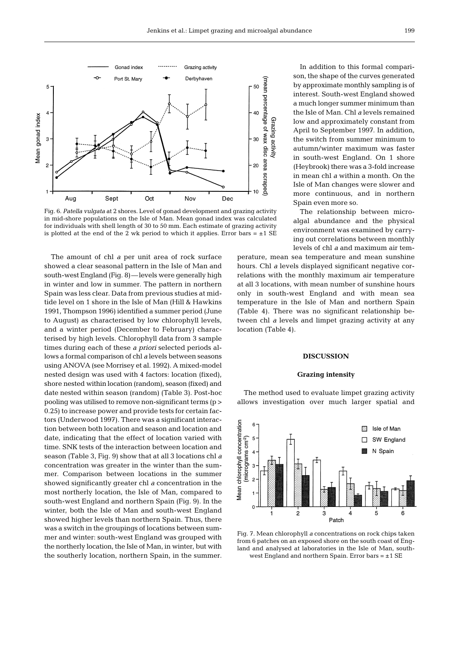

Fig. 6. *Patella vulgata* at 2 shores. Level of gonad development and grazing activity in mid-shore populations on the Isle of Man. Mean gonad index was calculated for individuals with shell length of 30 to 50 mm. Each estimate of grazing activity is plotted at the end of the 2 wk period to which it applies. Error bars  $= \pm 1$  SE

The amount of chl *a* per unit area of rock surface showed a clear seasonal pattern in the Isle of Man and south-west England (Fig. 8)—levels were generally high in winter and low in summer. The pattern in northern Spain was less clear. Data from previous studies at midtide level on 1 shore in the Isle of Man (Hill & Hawkins 1991, Thompson 1996) identified a summer period (June to August) as characterised by low chlorophyll levels, and a winter period (December to February) characterised by high levels. Chlorophyll data from 3 sample times during each of these *a priori* selected periods allows a formal comparison of chl *a* levels between seasons using ANOVA (see Morrisey et al. 1992). A mixed-model nested design was used with 4 factors: location (fixed), shore nested within location (random), season (fixed) and date nested within season (random) (Table 3). Post-hoc pooling was utilised to remove non-significant terms (p > 0.25) to increase power and provide tests for certain factors (Underwood 1997). There was a significant interaction between both location and season and location and date, indicating that the effect of location varied with time. SNK tests of the interaction between location and season (Table 3, Fig. 9) show that at all 3 locations chl *a* concentration was greater in the winter than the summer. Comparison between locations in the summer showed significantly greater chl *a* concentration in the most northerly location, the Isle of Man, compared to south-west England and northern Spain (Fig. 9). In the winter, both the Isle of Man and south-west England showed higher levels than northern Spain. Thus, there was a switch in the groupings of locations between summer and winter: south-west England was grouped with the northerly location, the Isle of Man, in winter, but with the southerly location, northern Spain, in the summer.

In addition to this formal comparison, the shape of the curves generated by approximate monthly sampling is of interest. South-west England showed a much longer summer minimum than the Isle of Man. Chl *a* levels remained low and approximately constant from April to September 1997. In addition, the switch from summer minimum to autumn/winter maximum was faster in south-west England. On 1 shore (Heybrook) there was a 3-fold increase in mean chl *a* within a month. On the Isle of Man changes were slower and more continuous, and in northern Spain even more so.

The relationship between microalgal abundance and the physical environment was examined by carrying out correlations between monthly levels of chl *a* and maximum air tem-

perature, mean sea temperature and mean sunshine hours. Chl *a* levels displayed significant negative correlations with the monthly maximum air temperature at all 3 locations, with mean number of sunshine hours only in south-west England and with mean sea temperature in the Isle of Man and northern Spain (Table 4). There was no significant relationship between chl *a* levels and limpet grazing activity at any location (Table 4).

## **DISCUSSION**

## **Grazing intensity**

The method used to evaluate limpet grazing activity allows investigation over much larger spatial and



Fig. 7. Mean chlorophyll *a* concentrations on rock chips taken from 6 patches on an exposed shore on the south coast of England and analysed at laboratories in the Isle of Man, southwest England and northern Spain. Error bars  $= +1$  SE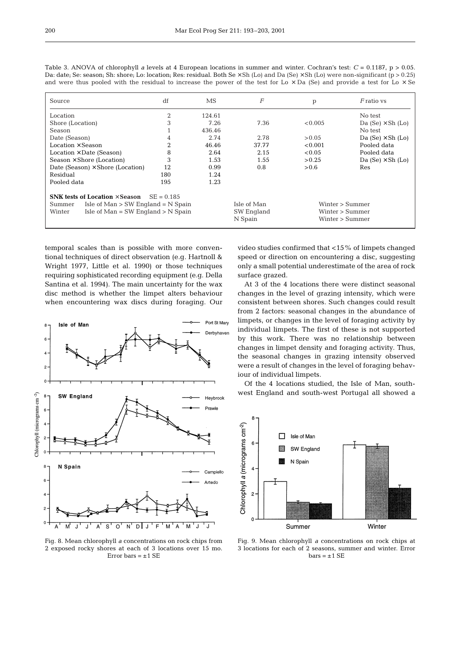| Source                                                | df             | MS.    | $\overline{F}$ | p               | <i>F</i> ratio vs        |  |
|-------------------------------------------------------|----------------|--------|----------------|-----------------|--------------------------|--|
| Location                                              | 2              | 124.61 |                |                 | No test                  |  |
| Shore (Location)                                      | 3              | 7.26   | 7.36           | < 0.005         | Da $(Se) \times Sh$ (Lo) |  |
| Season                                                |                | 436.46 |                |                 | No test                  |  |
| Date (Season)                                         | 4              | 2.74   | 2.78           | > 0.05          | Da $(Se) \times Sh$ (Lo) |  |
| Location $\times$ Season                              | $\overline{2}$ | 46.46  | 37.77          | < 0.001         | Pooled data              |  |
| $Location \times Date$ (Season)                       | 8              | 2.64   | 2.15           | < 0.05          | Pooled data              |  |
| Season $\times$ Shore (Location)                      | 3              | 1.53   | 1.55           | > 0.25          | Da $(Se) \times Sh$ (Lo) |  |
| Date (Season) $\times$ Shore (Location)               | 12             | 0.99   | 0.8            | > 0.6           | Res                      |  |
| Residual                                              | 180            | 1.24   |                |                 |                          |  |
| Pooled data                                           | 195            | 1.23   |                |                 |                          |  |
| SNK tests of Location $\times$ Season<br>$SE = 0.185$ |                |        |                |                 |                          |  |
| Isle of $Man > SW$ England = N Spain<br>Summer        |                |        | Isle of Man    | Winter > Summer |                          |  |
| Isle of $Man = SW England > N$ Spain<br>Winter        |                |        | SW England     | Winter > Summer |                          |  |
|                                                       |                |        | N Spain        |                 | Winter > Summer          |  |

Table 3. ANOVA of chlorophyll *a* levels at 4 European locations in summer and winter. Cochran's test:  $C = 0.1187$ ,  $p > 0.05$ . Da: date; Se: season; Sh: shore; Lo: location; Res: residual. Both Se × Sh (Lo) and Da (Se) × Sh (Lo) were non-significant (p > 0.25) and were thus pooled with the residual to increase the power of the test for Lo  $\times$  Da (Se) and provide a test for Lo  $\times$  Se

temporal scales than is possible with more conventional techniques of direct observation (e.g. Hartnoll & Wright 1977, Little et al. 1990) or those techniques requiring sophisticated recording equipment (e.g. Della Santina et al. 1994). The main uncertainty for the wax disc method is whether the limpet alters behaviour when encountering wax discs during foraging. Our



Fig. 8. Mean chlorophyll *a* concentrations on rock chips from 2 exposed rocky shores at each of 3 locations over 15 mo. Error bars  $= \pm 1$  SE

video studies confirmed that <15% of limpets changed speed or direction on encountering a disc, suggesting only a small potential underestimate of the area of rock surface grazed.

At 3 of the 4 locations there were distinct seasonal changes in the level of grazing intensity, which were consistent between shores. Such changes could result from 2 factors: seasonal changes in the abundance of limpets, or changes in the level of foraging activity by individual limpets. The first of these is not supported by this work. There was no relationship between changes in limpet density and foraging activity. Thus, the seasonal changes in grazing intensity observed were a result of changes in the level of foraging behaviour of individual limpets.

Of the 4 locations studied, the Isle of Man, southwest England and south-west Portugal all showed a



Fig. 9. Mean chlorophyll *a* concentrations on rock chips at 3 locations for each of 2 seasons, summer and winter. Error  $bars = ±1 SE$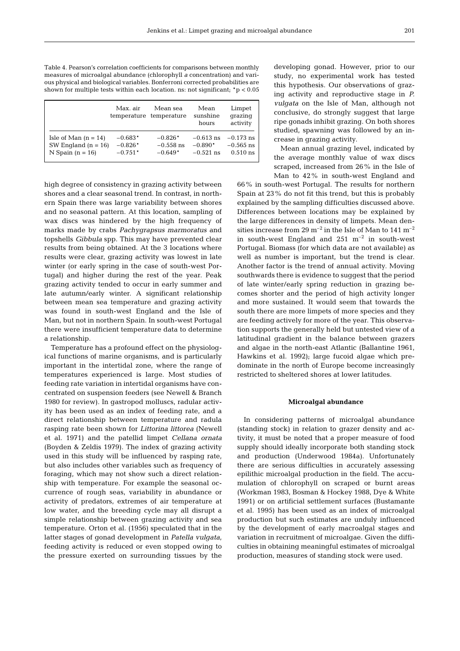201

Table 4. Pearson's correlation coefficients for comparisons between monthly measures of microalgal abundance (chlorophyll *a* concentration) and various physical and biological variables. Bonferroni corrected probabilities are shown for multiple tests within each location. ns: not significant;  $p < 0.05$ 

|                        | Max. air  | Mean sea<br>temperature temperature | Mean<br>sunshine<br>hours | Limpet<br>qrazinq<br>activity |
|------------------------|-----------|-------------------------------------|---------------------------|-------------------------------|
| Isle of Man $(n = 14)$ | $-0.683*$ | $-0.826*$                           | $-0.613$ ns               | $-0.173$ ns                   |
| SW England $(n = 16)$  | $-0.826*$ | $-0.558$ ns                         | $-0.890*$                 | $-0.565$ ns                   |
| N Spain $(n = 16)$     | $-0.751*$ | $-0.649*$                           | $-0.521$ ns               | $0.510$ ns                    |

high degree of consistency in grazing activity between shores and a clear seasonal trend. In contrast, in northern Spain there was large variability between shores and no seasonal pattern. At this location, sampling of wax discs was hindered by the high frequency of marks made by crabs *Pachygrapsus marmoratus* and topshells *Gibbula* spp. This may have prevented clear results from being obtained. At the 3 locations where results were clear, grazing activity was lowest in late winter (or early spring in the case of south-west Portugal) and higher during the rest of the year. Peak grazing activity tended to occur in early summer and late autumn/early winter. A significant relationship between mean sea temperature and grazing activity was found in south-west England and the Isle of Man, but not in northern Spain. In south-west Portugal there were insufficient temperature data to determine a relationship.

Temperature has a profound effect on the physiological functions of marine organisms, and is particularly important in the intertidal zone, where the range of temperatures experienced is large. Most studies of feeding rate variation in intertidal organisms have concentrated on suspension feeders (see Newell & Branch 1980 for review). In gastropod molluscs, radular activity has been used as an index of feeding rate, and a direct relationship between temperature and radula rasping rate been shown for *Littorina littorea* (Newell et al. 1971) and the patellid limpet *Cellana ornata* (Boyden & Zeldis 1979). The index of grazing activity used in this study will be influenced by rasping rate, but also includes other variables such as frequency of foraging, which may not show such a direct relationship with temperature. For example the seasonal occurrence of rough seas, variability in abundance or activity of predators, extremes of air temperature at low water, and the breeding cycle may all disrupt a simple relationship between grazing activity and sea temperature. Orton et al. (1956) speculated that in the latter stages of gonad development in *Patella vulgata*, feeding activity is reduced or even stopped owing to the pressure exerted on surrounding tissues by the developing gonad. However, prior to our study, no experimental work has tested this hypothesis. Our observations of grazing activity and reproductive stage in *P. vulgata* on the Isle of Man, although not conclusive, do strongly suggest that large ripe gonads inhibit grazing. On both shores studied, spawning was followed by an increase in grazing activity.

Mean annual grazing level, indicated by the average monthly value of wax discs scraped, increased from 26% in the Isle of Man to 42% in south-west England and

66% in south-west Portugal. The results for northern Spain at 23% do not fit this trend, but this is probably explained by the sampling difficulties discussed above. Differences between locations may be explained by the large differences in density of limpets. Mean densities increase from 29  $\mathrm{m}^{-2}$  in the Isle of Man to 141  $\mathrm{m}^{-2}$ in south-west England and  $251 \text{ m}^{-2}$  in south-west Portugal. Biomass (for which data are not available) as well as number is important, but the trend is clear. Another factor is the trend of annual activity. Moving southwards there is evidence to suggest that the period of late winter/early spring reduction in grazing becomes shorter and the period of high activity longer and more sustained. It would seem that towards the south there are more limpets of more species and they are feeding actively for more of the year. This observation supports the generally held but untested view of a latitudinal gradient in the balance between grazers and algae in the north-east Atlantic (Ballantine 1961, Hawkins et al. 1992); large fucoid algae which predominate in the north of Europe become increasingly restricted to sheltered shores at lower latitudes.

# **Microalgal abundance**

In considering patterns of microalgal abundance (standing stock) in relation to grazer density and activity, it must be noted that a proper measure of food supply should ideally incorporate both standing stock and production (Underwood 1984a). Unfortunately there are serious difficulties in accurately assessing epilithic microalgal production in the field. The accumulation of chlorophyll on scraped or burnt areas (Workman 1983, Bosman & Hockey 1988, Dye & White 1991) or on artificial settlement surfaces (Bustamante et al. 1995) has been used as an index of microalgal production but such estimates are unduly influenced by the development of early macroalgal stages and variation in recruitment of microalgae. Given the difficulties in obtaining meaningful estimates of microalgal production, measures of standing stock were used.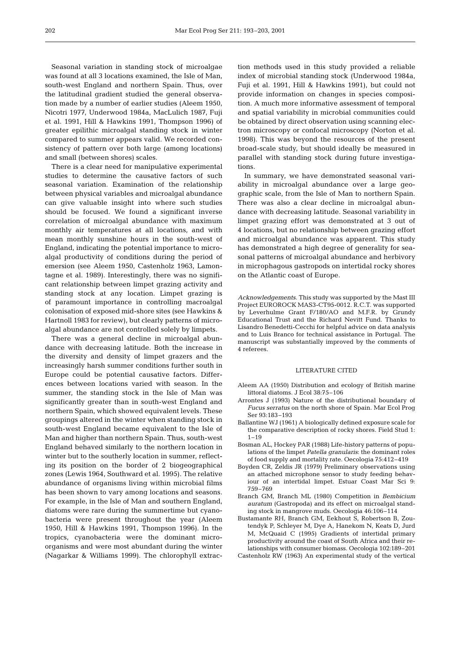Seasonal variation in standing stock of microalgae was found at all 3 locations examined, the Isle of Man, south-west England and northern Spain. Thus, over the latitudinal gradient studied the general observation made by a number of earlier studies (Aleem 1950, Nicotri 1977, Underwood 1984a, MacLulich 1987, Fuji et al. 1991, Hill & Hawkins 1991, Thompson 1996) of greater epilithic microalgal standing stock in winter compared to summer appears valid. We recorded consistency of pattern over both large (among locations) and small (between shores) scales.

There is a clear need for manipulative experimental studies to determine the causative factors of such seasonal variation. Examination of the relationship between physical variables and microalgal abundance can give valuable insight into where such studies should be focused. We found a significant inverse correlation of microalgal abundance with maximum monthly air temperatures at all locations, and with mean monthly sunshine hours in the south-west of England, indicating the potential importance to microalgal productivity of conditions during the period of emersion (see Aleem 1950, Castenholz 1963, Lamontagne et al. 1989). Interestingly, there was no significant relationship between limpet grazing activity and standing stock at any location. Limpet grazing is of paramount importance in controlling macroalgal colonisation of exposed mid-shore sites (see Hawkins & Hartnoll 1983 for review), but clearly patterns of microalgal abundance are not controlled solely by limpets.

There was a general decline in microalgal abundance with decreasing latitude. Both the increase in the diversity and density of limpet grazers and the increasingly harsh summer conditions further south in Europe could be potential causative factors. Differences between locations varied with season. In the summer, the standing stock in the Isle of Man was significantly greater than in south-west England and northern Spain, which showed equivalent levels. These groupings altered in the winter when standing stock in south-west England became equivalent to the Isle of Man and higher than northern Spain. Thus, south-west England behaved similarly to the northern location in winter but to the southerly location in summer, reflecting its position on the border of 2 biogeographical zones (Lewis 1964, Southward et al. 1995). The relative abundance of organisms living within microbial films has been shown to vary among locations and seasons. For example, in the Isle of Man and southern England, diatoms were rare during the summertime but cyanobacteria were present throughout the year (Aleem 1950, Hill & Hawkins 1991, Thompson 1996). In the tropics, cyanobacteria were the dominant microorganisms and were most abundant during the winter (Nagarkar & Williams 1999). The chlorophyll extraction methods used in this study provided a reliable index of microbial standing stock (Underwood 1984a, Fuji et al. 1991, Hill & Hawkins 1991), but could not provide information on changes in species composition. A much more informative assessment of temporal and spatial variability in microbial communities could be obtained by direct observation using scanning electron microscopy or confocal microscopy (Norton et al. 1998). This was beyond the resources of the present broad-scale study, but should ideally be measured in parallel with standing stock during future investigations.

In summary, we have demonstrated seasonal variability in microalgal abundance over a large geographic scale, from the Isle of Man to northern Spain. There was also a clear decline in microalgal abundance with decreasing latitude. Seasonal variability in limpet grazing effort was demonstrated at 3 out of 4 locations, but no relationship between grazing effort and microalgal abundance was apparent. This study has demonstrated a high degree of generality for seasonal patterns of microalgal abundance and herbivory in microphagous gastropods on intertidal rocky shores on the Atlantic coast of Europe.

*Acknowledgements.* This study was supported by the Mast III Project EUROROCK MAS3-CT95-0012. R.C.T. was supported by Leverhulme Grant F/180/AO and M.F.R. by Grundy Educational Trust and the Richard Nevitt Fund. Thanks to Lisandro Benedetti-Cecchi for helpful advice on data analysis and to Luis Branco for technical assistance in Portugal. The manuscript was substantially improved by the comments of 4 referees.

#### LITERATURE CITED

- Aleem AA (1950) Distribution and ecology of British marine littoral diatoms. J Ecol 38:75–106
- Arrontes J (1993) Nature of the distributional boundary of *Fucus serratus* on the north shore of Spain. Mar Ecol Prog Ser 93:183–193
- Ballantine WJ (1961) A biologically defined exposure scale for the comparative description of rocky shores. Field Stud 1:  $1 - 19$
- Bosman AL, Hockey PAR (1988) Life-history patterns of populations of the limpet *Patella granularis*: the dominant roles of food supply and mortality rate. Oecologia 75:412–419
- Boyden CR, Zeldis JR (1979) Preliminary observations using an attached microphone sensor to study feeding behaviour of an intertidal limpet. Estuar Coast Mar Sci 9: 759–769
- Branch GM, Branch ML (1980) Competition in *Bembicium auratum* (Gastropoda) and its effect on microalgal standing stock in mangrove muds. Oecologia 46:106–114
- Bustamante RH, Branch GM, Eekhout S, Robertson B, Zoutendyk P, Schleyer M, Dye A, Hanekom N, Keats D, Jurd M, McQuaid C (1995) Gradients of intertidal primary productivity around the coast of South Africa and their relationships with consumer biomass. Oecologia 102:189–201
- Castenholz RW (1963) An experimental study of the vertical